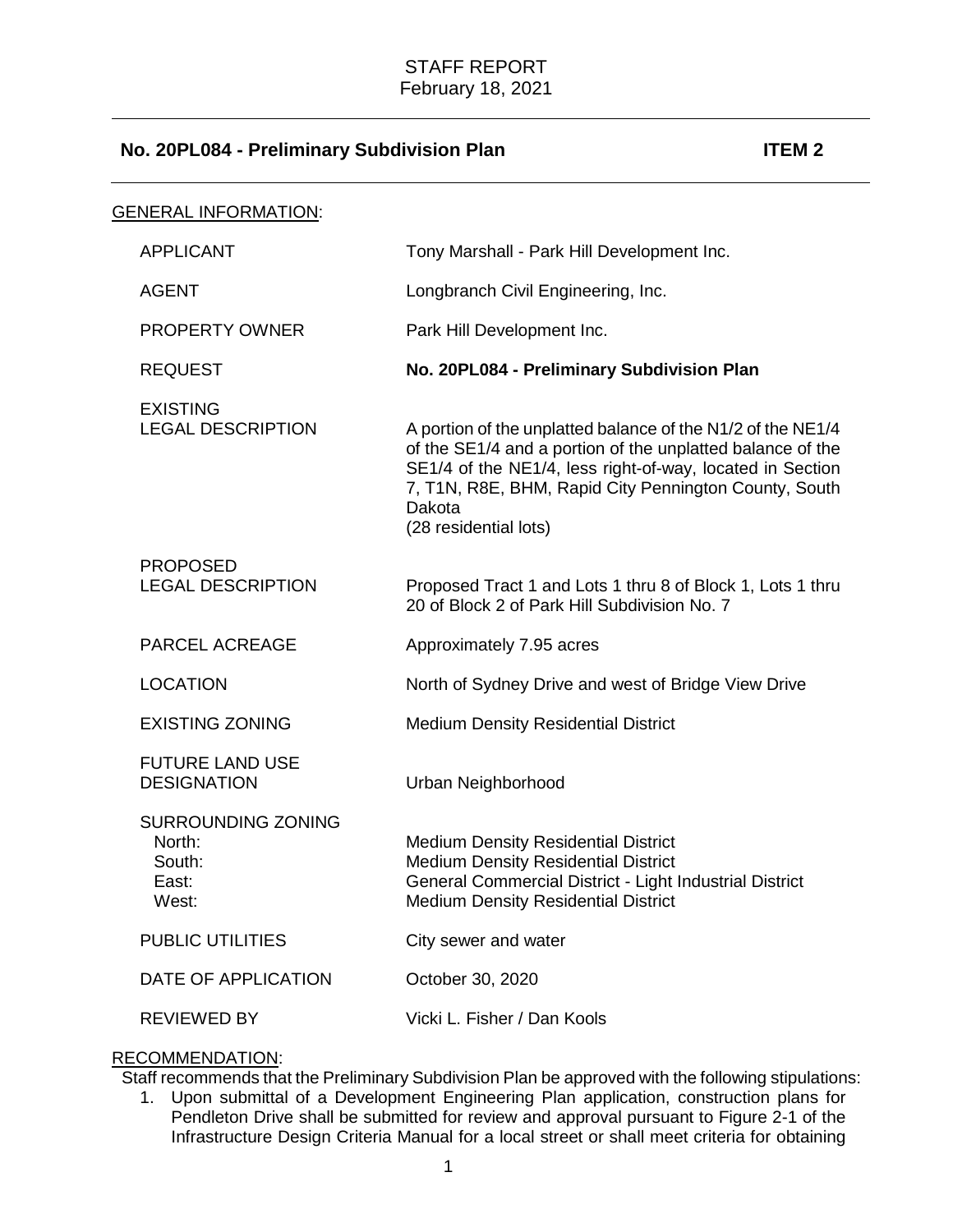| <b>GENERAL INFORMATION:</b>                                     |                                                                                                                                                                                                                                                                                    |
|-----------------------------------------------------------------|------------------------------------------------------------------------------------------------------------------------------------------------------------------------------------------------------------------------------------------------------------------------------------|
| <b>APPLICANT</b>                                                | Tony Marshall - Park Hill Development Inc.                                                                                                                                                                                                                                         |
| <b>AGENT</b>                                                    | Longbranch Civil Engineering, Inc.                                                                                                                                                                                                                                                 |
| <b>PROPERTY OWNER</b>                                           | Park Hill Development Inc.                                                                                                                                                                                                                                                         |
| <b>REQUEST</b>                                                  | No. 20PL084 - Preliminary Subdivision Plan                                                                                                                                                                                                                                         |
| <b>EXISTING</b><br><b>LEGAL DESCRIPTION</b>                     | A portion of the unplatted balance of the N1/2 of the NE1/4<br>of the SE1/4 and a portion of the unplatted balance of the<br>SE1/4 of the NE1/4, less right-of-way, located in Section<br>7, T1N, R8E, BHM, Rapid City Pennington County, South<br>Dakota<br>(28 residential lots) |
| <b>PROPOSED</b><br><b>LEGAL DESCRIPTION</b>                     | Proposed Tract 1 and Lots 1 thru 8 of Block 1, Lots 1 thru<br>20 of Block 2 of Park Hill Subdivision No. 7                                                                                                                                                                         |
| <b>PARCEL ACREAGE</b>                                           | Approximately 7.95 acres                                                                                                                                                                                                                                                           |
| <b>LOCATION</b>                                                 | North of Sydney Drive and west of Bridge View Drive                                                                                                                                                                                                                                |
| <b>EXISTING ZONING</b>                                          | <b>Medium Density Residential District</b>                                                                                                                                                                                                                                         |
| <b>FUTURE LAND USE</b><br><b>DESIGNATION</b>                    | Urban Neighborhood                                                                                                                                                                                                                                                                 |
| <b>SURROUNDING ZONING</b><br>North:<br>South:<br>East:<br>West: | <b>Medium Density Residential District</b><br><b>Medium Density Residential District</b><br>General Commercial District - Light Industrial District<br><b>Medium Density Residential District</b>                                                                                  |
| <b>PUBLIC UTILITIES</b>                                         | City sewer and water                                                                                                                                                                                                                                                               |
| DATE OF APPLICATION                                             | October 30, 2020                                                                                                                                                                                                                                                                   |
| <b>REVIEWED BY</b>                                              | Vicki L. Fisher / Dan Kools                                                                                                                                                                                                                                                        |

# RECOMMENDATION:

Staff recommends that the Preliminary Subdivision Plan be approved with the following stipulations:

1. Upon submittal of a Development Engineering Plan application, construction plans for Pendleton Drive shall be submitted for review and approval pursuant to Figure 2-1 of the Infrastructure Design Criteria Manual for a local street or shall meet criteria for obtaining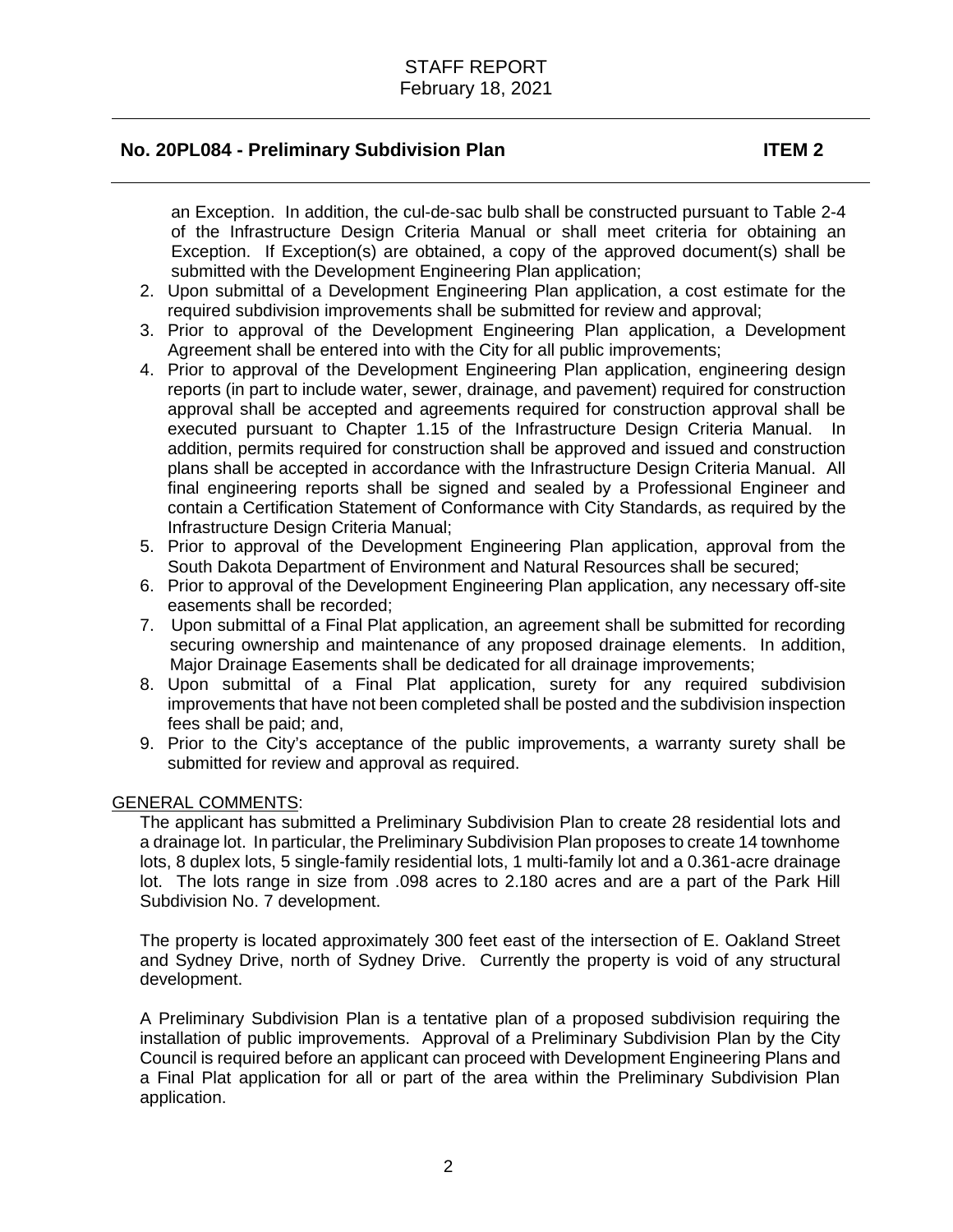an Exception. In addition, the cul-de-sac bulb shall be constructed pursuant to Table 2-4 of the Infrastructure Design Criteria Manual or shall meet criteria for obtaining an Exception. If Exception(s) are obtained, a copy of the approved document(s) shall be submitted with the Development Engineering Plan application;

- 2. Upon submittal of a Development Engineering Plan application, a cost estimate for the required subdivision improvements shall be submitted for review and approval;
- 3. Prior to approval of the Development Engineering Plan application, a Development Agreement shall be entered into with the City for all public improvements;
- 4. Prior to approval of the Development Engineering Plan application, engineering design reports (in part to include water, sewer, drainage, and pavement) required for construction approval shall be accepted and agreements required for construction approval shall be executed pursuant to Chapter 1.15 of the Infrastructure Design Criteria Manual. In addition, permits required for construction shall be approved and issued and construction plans shall be accepted in accordance with the Infrastructure Design Criteria Manual. All final engineering reports shall be signed and sealed by a Professional Engineer and contain a Certification Statement of Conformance with City Standards, as required by the Infrastructure Design Criteria Manual;
- 5. Prior to approval of the Development Engineering Plan application, approval from the South Dakota Department of Environment and Natural Resources shall be secured;
- 6. Prior to approval of the Development Engineering Plan application, any necessary off-site easements shall be recorded;
- 7. Upon submittal of a Final Plat application, an agreement shall be submitted for recording securing ownership and maintenance of any proposed drainage elements. In addition, Major Drainage Easements shall be dedicated for all drainage improvements;
- 8. Upon submittal of a Final Plat application, surety for any required subdivision improvements that have not been completed shall be posted and the subdivision inspection fees shall be paid; and,
- 9. Prior to the City's acceptance of the public improvements, a warranty surety shall be submitted for review and approval as required.

#### GENERAL COMMENTS:

The applicant has submitted a Preliminary Subdivision Plan to create 28 residential lots and a drainage lot. In particular, the Preliminary Subdivision Plan proposes to create 14 townhome lots, 8 duplex lots, 5 single-family residential lots, 1 multi-family lot and a 0.361-acre drainage lot. The lots range in size from .098 acres to 2.180 acres and are a part of the Park Hill Subdivision No. 7 development.

The property is located approximately 300 feet east of the intersection of E. Oakland Street and Sydney Drive, north of Sydney Drive. Currently the property is void of any structural development.

A Preliminary Subdivision Plan is a tentative plan of a proposed subdivision requiring the installation of public improvements. Approval of a Preliminary Subdivision Plan by the City Council is required before an applicant can proceed with Development Engineering Plans and a Final Plat application for all or part of the area within the Preliminary Subdivision Plan application.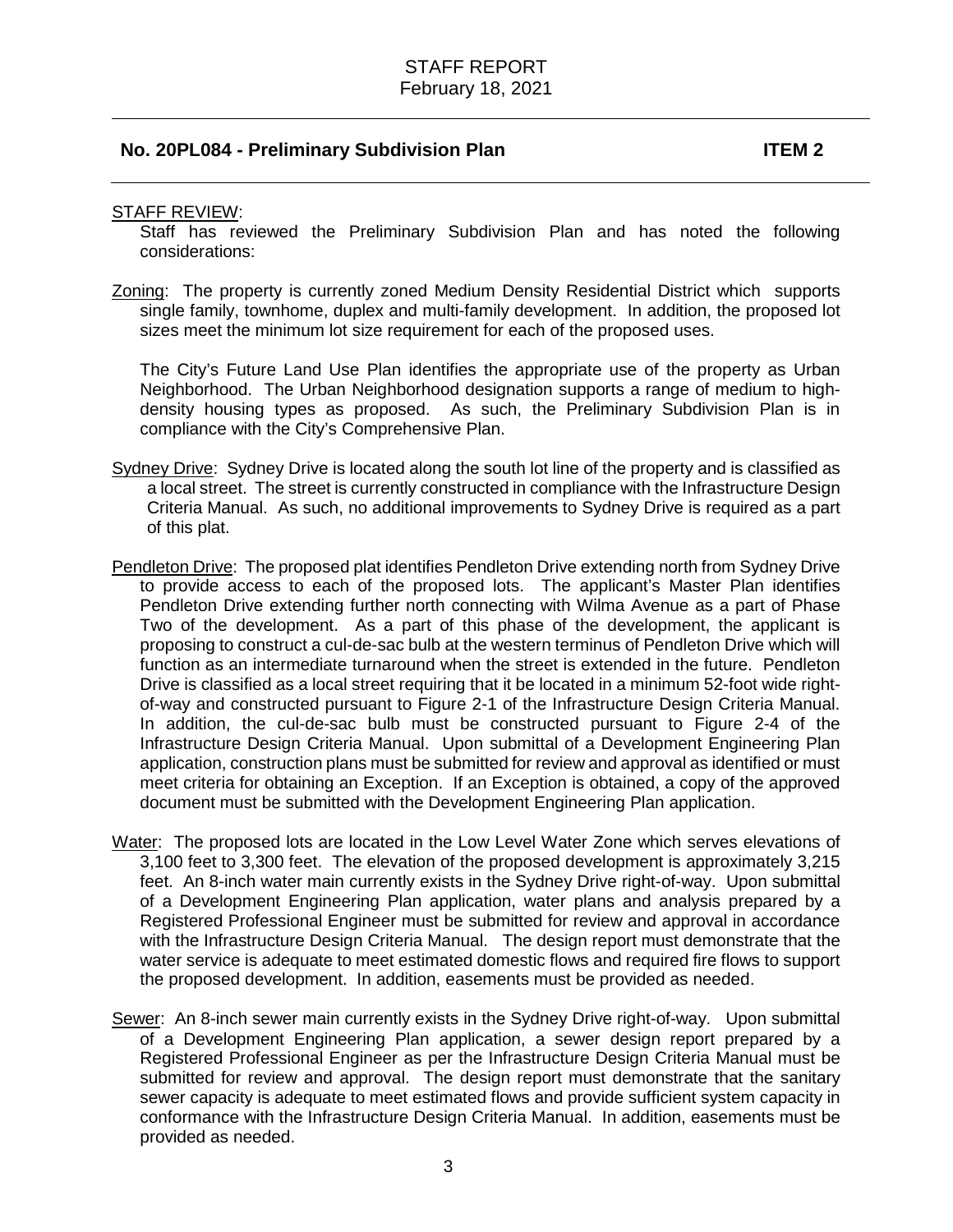#### STAFF REVIEW:

Staff has reviewed the Preliminary Subdivision Plan and has noted the following considerations:

Zoning: The property is currently zoned Medium Density Residential District which supports single family, townhome, duplex and multi-family development. In addition, the proposed lot sizes meet the minimum lot size requirement for each of the proposed uses.

The City's Future Land Use Plan identifies the appropriate use of the property as Urban Neighborhood. The Urban Neighborhood designation supports a range of medium to highdensity housing types as proposed. As such, the Preliminary Subdivision Plan is in compliance with the City's Comprehensive Plan.

- Sydney Drive: Sydney Drive is located along the south lot line of the property and is classified as a local street. The street is currently constructed in compliance with the Infrastructure Design Criteria Manual. As such, no additional improvements to Sydney Drive is required as a part of this plat.
- Pendleton Drive: The proposed plat identifies Pendleton Drive extending north from Sydney Drive to provide access to each of the proposed lots. The applicant's Master Plan identifies Pendleton Drive extending further north connecting with Wilma Avenue as a part of Phase Two of the development. As a part of this phase of the development, the applicant is proposing to construct a cul-de-sac bulb at the western terminus of Pendleton Drive which will function as an intermediate turnaround when the street is extended in the future. Pendleton Drive is classified as a local street requiring that it be located in a minimum 52-foot wide rightof-way and constructed pursuant to Figure 2-1 of the Infrastructure Design Criteria Manual. In addition, the cul-de-sac bulb must be constructed pursuant to Figure 2-4 of the Infrastructure Design Criteria Manual. Upon submittal of a Development Engineering Plan application, construction plans must be submitted for review and approval as identified or must meet criteria for obtaining an Exception. If an Exception is obtained, a copy of the approved document must be submitted with the Development Engineering Plan application.
- Water: The proposed lots are located in the Low Level Water Zone which serves elevations of 3,100 feet to 3,300 feet. The elevation of the proposed development is approximately 3,215 feet. An 8-inch water main currently exists in the Sydney Drive right-of-way. Upon submittal of a Development Engineering Plan application, water plans and analysis prepared by a Registered Professional Engineer must be submitted for review and approval in accordance with the Infrastructure Design Criteria Manual. The design report must demonstrate that the water service is adequate to meet estimated domestic flows and required fire flows to support the proposed development. In addition, easements must be provided as needed.
- Sewer: An 8-inch sewer main currently exists in the Sydney Drive right-of-way. Upon submittal of a Development Engineering Plan application, a sewer design report prepared by a Registered Professional Engineer as per the Infrastructure Design Criteria Manual must be submitted for review and approval. The design report must demonstrate that the sanitary sewer capacity is adequate to meet estimated flows and provide sufficient system capacity in conformance with the Infrastructure Design Criteria Manual. In addition, easements must be provided as needed.